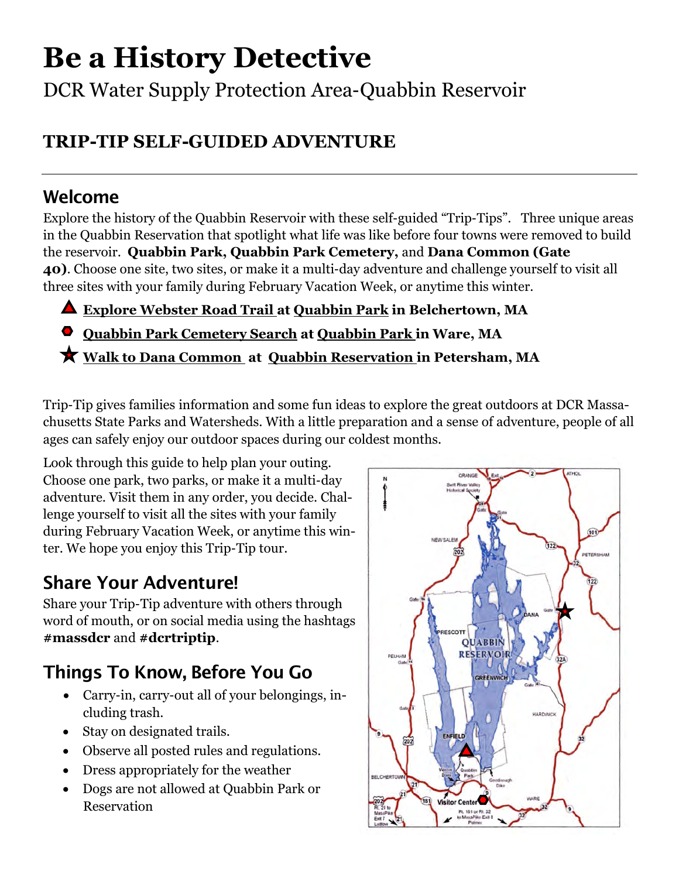# **Be a History Detective**

DCR Water Supply Protection Area-Quabbin Reservoir

## **TRIP-TIP SELF-GUIDED ADVENTURE**

### Welcome

Explore the history of the Quabbin Reservoir with these self-guided "Trip-Tips". Three unique areas in the Quabbin Reservation that spotlight what life was like before four towns were removed to build the reservoir. **Quabbin Park, Quabbin Park Cemetery,** and **Dana Common (Gate 40)**. Choose one site, two sites, or make it a multi-day adventure and challenge yourself to visit all three sites with your family during February Vacation Week, or anytime this winter.

- **Explore Webster Road Trail at Quabbin Park in Belchertown, MA**
- **Quabbin Park Cemetery Search at Quabbin Park in Ware, MA**
- **Walk to Dana Common at Quabbin Reservation in Petersham, MA**

Trip-Tip gives families information and some fun ideas to explore the great outdoors at DCR Massachusetts State Parks and Watersheds. With a little preparation and a sense of adventure, people of all ages can safely enjoy our outdoor spaces during our coldest months.

Look through this guide to help plan your outing. Choose one park, two parks, or make it a multi-day adventure. Visit them in any order, you decide. Challenge yourself to visit all the sites with your family during February Vacation Week, or anytime this winter. We hope you enjoy this Trip-Tip tour.

# Share Your Adventure!

Share your Trip-Tip adventure with others through word of mouth, or on social media using the hashtags **#massdcr** and **#dcrtriptip**.

# Things To Know, Before You Go

- Carry-in, carry-out all of your belongings, including trash.
- Stay on designated trails.
- Observe all posted rules and regulations.
- Dress appropriately for the weather
- Dogs are not allowed at Quabbin Park or Reservation

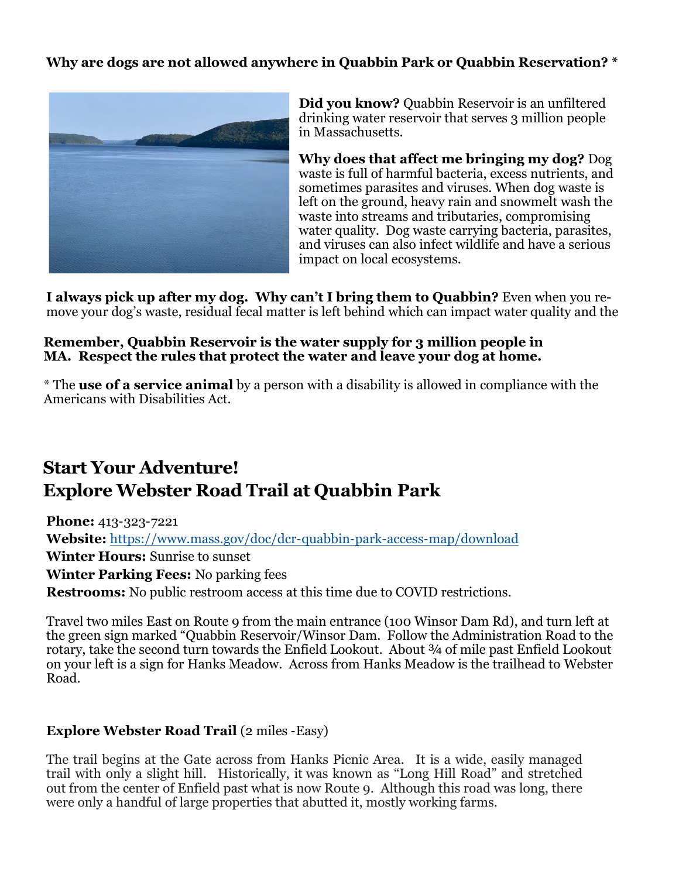#### **Why are dogs are not allowed anywhere in Quabbin Park or Quabbin Reservation? \***



**Did you know?** Quabbin Reservoir is an unfiltered drinking water reservoir that serves 3 million people in Massachusetts.

**Why does that affect me bringing my dog?** Dog waste is full of harmful bacteria, excess nutrients, and sometimes parasites and viruses. When dog waste is left on the ground, heavy rain and snowmelt wash the waste into streams and tributaries, compromising water quality. Dog waste carrying bacteria, parasites, and viruses can also infect wildlife and have a serious impact on local ecosystems.

**I always pick up after my dog. Why can't I bring them to Quabbin?** Even when you remove your dog's waste, residual fecal matter is left behind which can impact water quality and the

#### **Remember, Quabbin Reservoir is the water supply for 3 million people in MA. Respect the rules that protect the water and leave your dog at home.**

\* The **use of a service animal** by a person with a disability is allowed in compliance with the Americans with Disabilities Act.

### **Start Your Adventure! Explore Webster Road Trail at Quabbin Park**

**Phone:** 413-323-7221 **Website:** [https://www.mass.gov/doc/dcr](https://www.mass.gov/doc/dcr-quabbin-park-access-map/download)-quabbin-park-access-map/download **Winter Hours:** Sunrise to sunset **Winter Parking Fees:** No parking fees **Restrooms:** No public restroom access at this time due to COVID restrictions.

Travel two miles East on Route 9 from the main entrance (100 Winsor Dam Rd), and turn left at the green sign marked "Quabbin Reservoir/Winsor Dam. Follow the Administration Road to the rotary, take the second turn towards the Enfield Lookout. About ¾ of mile past Enfield Lookout on your left is a sign for Hanks Meadow. Across from Hanks Meadow is the trailhead to Webster Road.

#### **Explore Webster Road Trail** (2 miles -Easy)

The trail begins at the Gate across from Hanks Picnic Area. It is a wide, easily managed trail with only a slight hill. Historically, it was known as "Long Hill Road" and stretched out from the center of Enfield past what is now Route 9. Although this road was long, there were only a handful of large properties that abutted it, mostly working farms.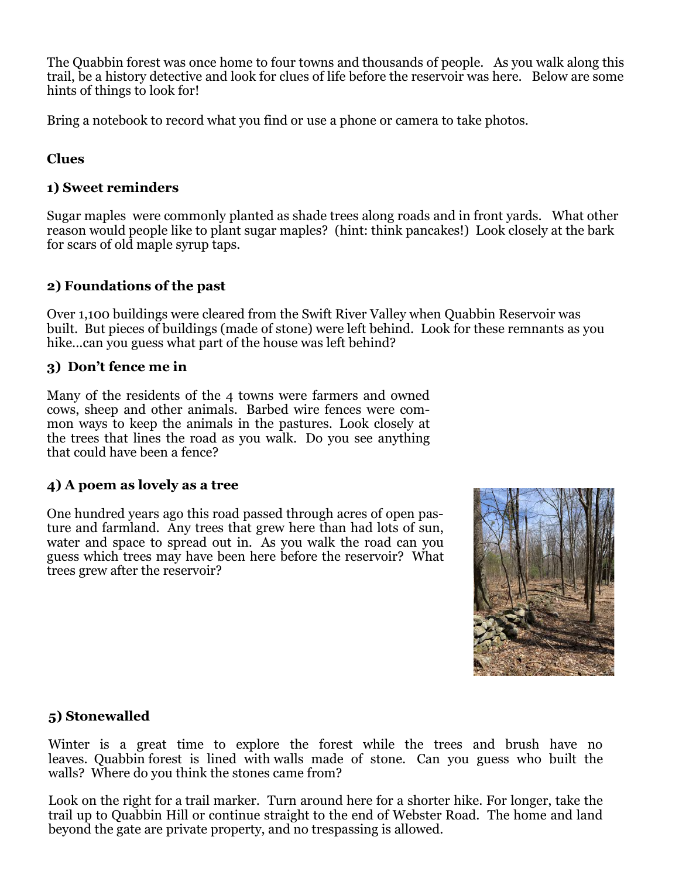The Quabbin forest was once home to four towns and thousands of people. As you walk along this trail, be a history detective and look for clues of life before the reservoir was here. Below are some hints of things to look for!

Bring a notebook to record what you find or use a phone or camera to take photos.

#### **Clues**

#### **1) Sweet reminders**

Sugar maples were commonly planted as shade trees along roads and in front yards. What other reason would people like to plant sugar maples? (hint: think pancakes!) Look closely at the bark for scars of old maple syrup taps.

#### **2) Foundations of the past**

Over 1,100 buildings were cleared from the Swift River Valley when Quabbin Reservoir was built. But pieces of buildings (made of stone) were left behind. Look for these remnants as you hike...can you guess what part of the house was left behind?

#### **3) Don't fence me in**

Many of the residents of the 4 towns were farmers and owned cows, sheep and other animals. Barbed wire fences were common ways to keep the animals in the pastures. Look closely at the trees that lines the road as you walk. Do you see anything that could have been a fence?

#### **4) A poem as lovely as a tree**

One hundred years ago this road passed through acres of open pasture and farmland. Any trees that grew here than had lots of sun, water and space to spread out in. As you walk the road can you guess which trees may have been here before the reservoir? What trees grew after the reservoir?



#### **5) Stonewalled**

Winter is a great time to explore the forest while the trees and brush have no leaves. Quabbin forest is lined with walls made of stone. Can you guess who built the walls? Where do you think the stones came from?

Look on the right for a trail marker. Turn around here for a shorter hike. For longer, take the trail up to Quabbin Hill or continue straight to the end of Webster Road. The home and land beyond the gate are private property, and no trespassing is allowed.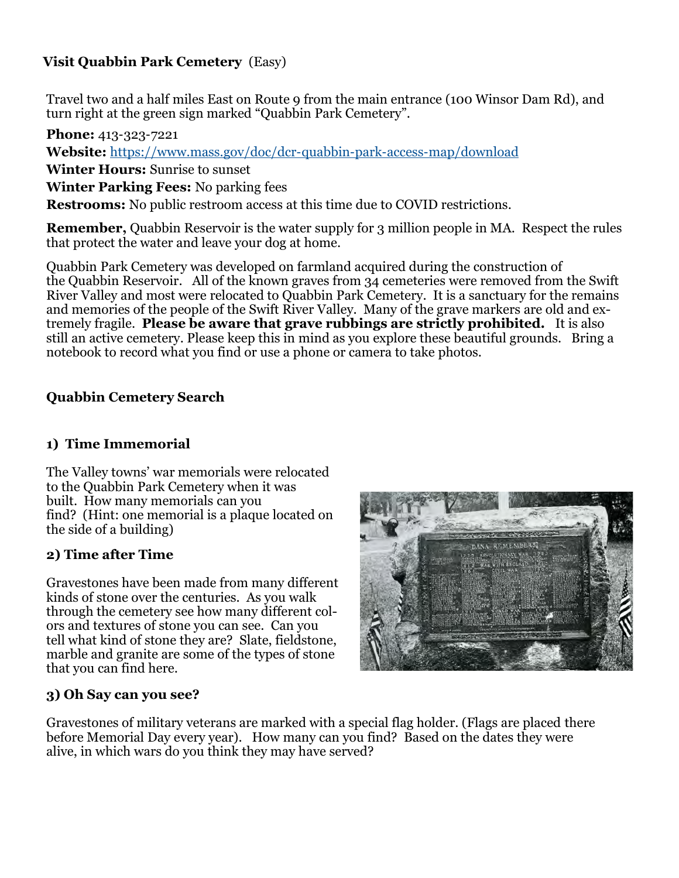#### **Visit Quabbin Park Cemetery** (Easy)

Travel two and a half miles East on Route 9 from the main entrance (100 Winsor Dam Rd), and turn right at the green sign marked "Quabbin Park Cemetery".

**Phone:** 413-323-7221

**Website:** [https://www.mass.gov/doc/dcr](https://www.mass.gov/doc/dcr-quabbin-park-access-map/download)-quabbin-park-access-map/download

**Winter Hours:** Sunrise to sunset

**Winter Parking Fees:** No parking fees

**Restrooms:** No public restroom access at this time due to COVID restrictions.

**Remember,** Quabbin Reservoir is the water supply for 3 million people in MA. Respect the rules that protect the water and leave your dog at home.

Quabbin Park Cemetery was developed on farmland acquired during the construction of the Quabbin Reservoir. All of the known graves from 34 cemeteries were removed from the Swift River Valley and most were relocated to Quabbin Park Cemetery. It is a sanctuary for the remains and memories of the people of the Swift River Valley. Many of the grave markers are old and extremely fragile. **Please be aware that grave rubbings are strictly prohibited.** It is also still an active cemetery. Please keep this in mind as you explore these beautiful grounds. Bring a notebook to record what you find or use a phone or camera to take photos.

#### **Quabbin Cemetery Search**

#### **1) Time Immemorial**

The Valley towns' war memorials were relocated to the Quabbin Park Cemetery when it was built. How many memorials can you find? (Hint: one memorial is a plaque located on the side of a building)

#### **2) Time after Time**

Gravestones have been made from many different kinds of stone over the centuries. As you walk through the cemetery see how many different colors and textures of stone you can see. Can you tell what kind of stone they are? Slate, fieldstone, marble and granite are some of the types of stone that you can find here.



#### **3) Oh Say can you see?**

Gravestones of military veterans are marked with a special flag holder. (Flags are placed there before Memorial Day every year). How many can you find? Based on the dates they were alive, in which wars do you think they may have served?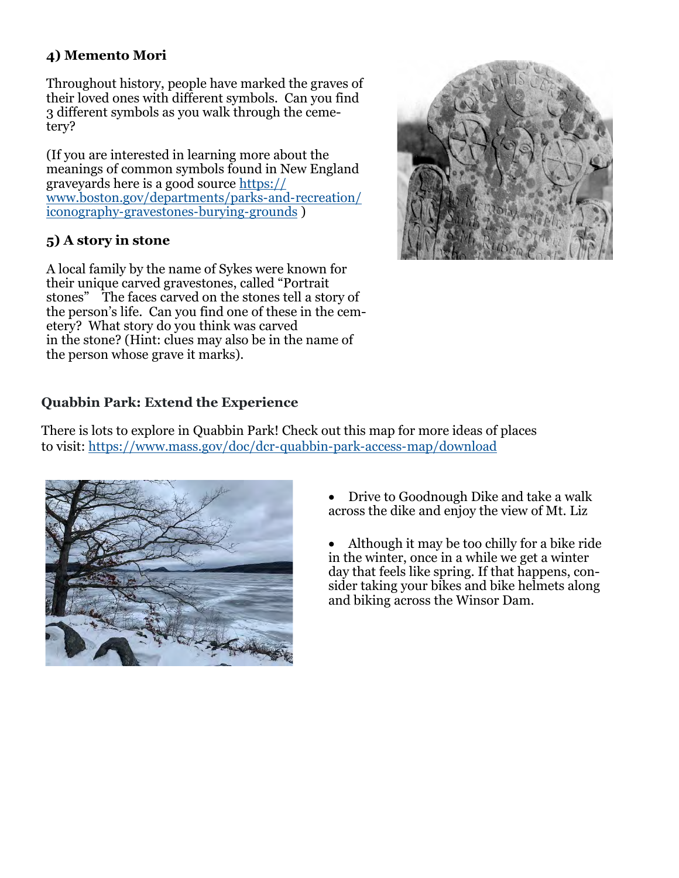#### **4) Memento Mori**

Throughout history, people have marked the graves of their loved ones with different symbols. Can you find 3 different symbols as you walk through the cemetery?

(If you are interested in learning more about the meanings of common symbols found in New England graveyards here is a good source [https://](https://www.boston.gov/departments/parks-and-recreation/iconography-gravestones-burying-grounds) [www.boston.gov/departments/parks](https://www.boston.gov/departments/parks-and-recreation/iconography-gravestones-burying-grounds)-and-recreation/ [iconography](https://www.boston.gov/departments/parks-and-recreation/iconography-gravestones-burying-grounds)-gravestones-burying-grounds )

#### **5) A story in stone**

A local family by the name of Sykes were known for their unique carved gravestones, called "Portrait stones" The faces carved on the stones tell a story of the person's life. Can you find one of these in the cemetery? What story do you think was carved in the stone? (Hint: clues may also be in the name of the person whose grave it marks).



#### **Quabbin Park: Extend the Experience**

There is lots to explore in Quabbin Park! Check out this map for more ideas of places to visit: [https://www.mass.gov/doc/dcr](https://www.mass.gov/doc/dcr-quabbin-park-access-map/download)-quabbin-park-access-map/download



• Drive to Goodnough Dike and take a walk across the dike and enjoy the view of Mt. Liz

• Although it may be too chilly for a bike ride in the winter, once in a while we get a winter day that feels like spring. If that happens, consider taking your bikes and bike helmets along and biking across the Winsor Dam.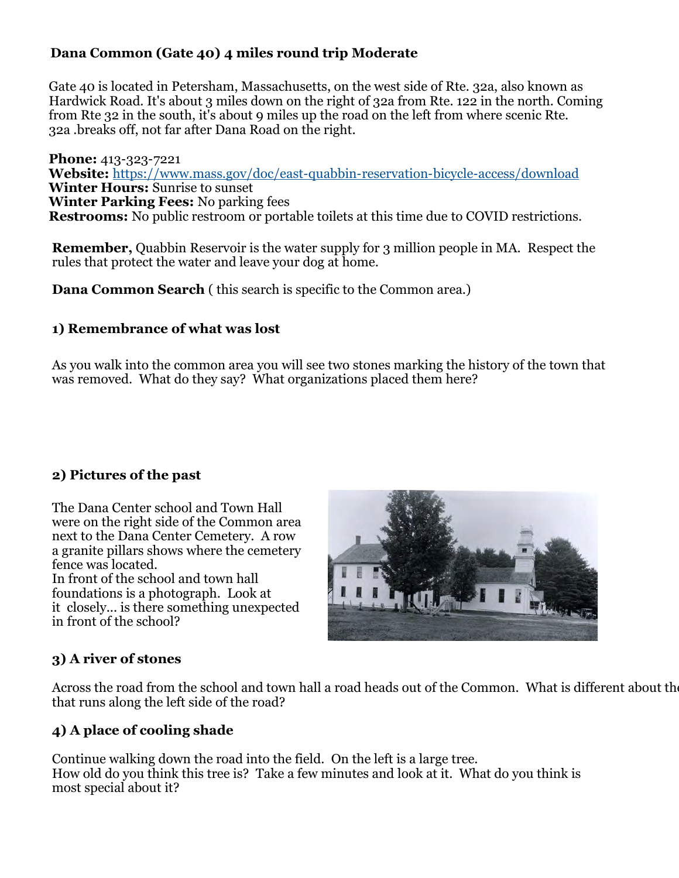#### **Dana Common (Gate 40) 4 miles round trip Moderate**

Gate 40 is located in Petersham, Massachusetts, on the west side of Rte. 32a, also known as Hardwick Road. It's about 3 miles down on the right of 32a from Rte. 122 in the north. Coming from Rte 32 in the south, it's about 9 miles up the road on the left from where scenic Rte. 32a .breaks off, not far after Dana Road on the right.

**Phone:** 413-323-7221 **Website:** [https://www.mass.gov/doc/east](https://www.mass.gov/doc/east-quabbin-reservation-bicycle-access/download)-quabbin-reservation-bicycle-access/download **Winter Hours:** Sunrise to sunset **Winter Parking Fees:** No parking fees **Restrooms:** No public restroom or portable toilets at this time due to COVID restrictions.

**Remember,** Quabbin Reservoir is the water supply for 3 million people in MA. Respect the rules that protect the water and leave your dog at home.

**Dana Common Search** ( this search is specific to the Common area.)

#### **1) Remembrance of what was lost**

As you walk into the common area you will see two stones marking the history of the town that was removed. What do they say? What organizations placed them here?

#### **2) Pictures of the past**

The Dana Center school and Town Hall were on the right side of the Common area next to the Dana Center Cemetery. A row a granite pillars shows where the cemetery fence was located. In front of the school and town hall foundations is a photograph. Look at it closely... is there something unexpected in front of the school?



#### **3) A river of stones**

Across the road from the school and town hall a road heads out of the Common. What is different about the that runs along the left side of the road?

#### **4) A place of cooling shade**

Continue walking down the road into the field. On the left is a large tree. How old do you think this tree is? Take a few minutes and look at it. What do you think is most special about it?